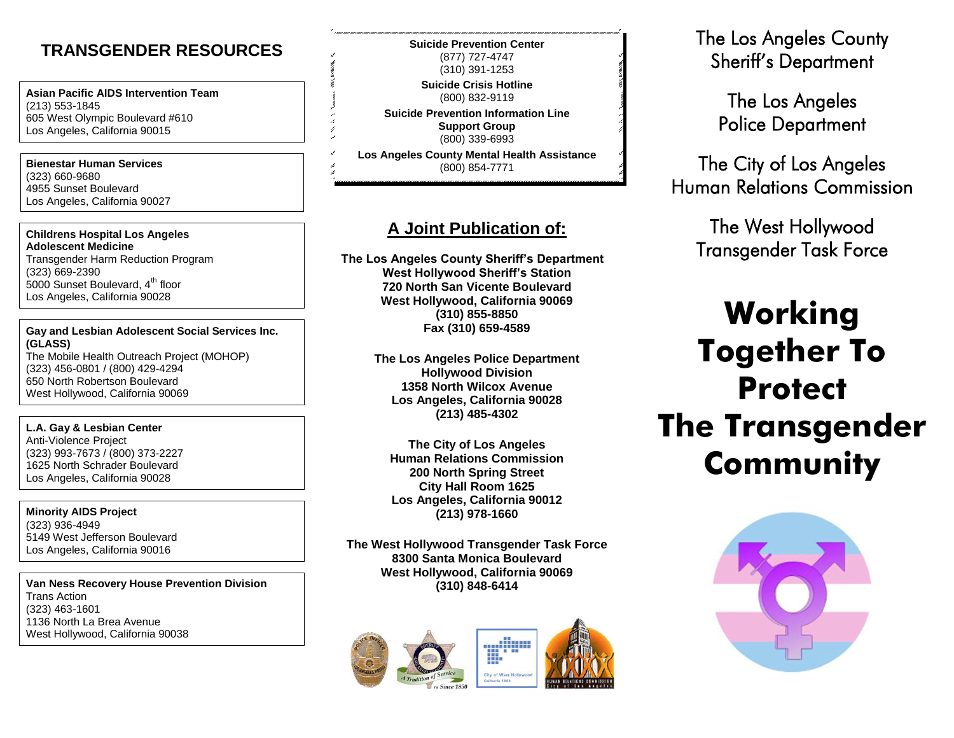### **TRANSGENDER RESOURCES**

**Asian Pacific AIDS Intervention Team** (213) 553-1845 605 West Olympic Boulevard #610 Los Angeles, California 90015

**Bienestar Human Services** (323) 660-9680 4955 Sunset Boulevard Los Angeles, California 90027

#### **Childrens Hospital Los Angeles Adolescent Medicine**

Transgender Harm Reduction Program (323) 669-2390 5000 Sunset Boulevard, 4<sup>th</sup> floor Los Angeles, California 90028

#### **Gay and Lesbian Adolescent Social Services Inc. (GLASS)** The Mobile Health Outreach Project (MOHOP)

(323) 456-0801 / (800) 429-4294 650 North Robertson Boulevard West Hollywood, California 90069

#### **L.A. Gay & Lesbian Center**

Anti-Violence Project (323) 993-7673 / (800) 373-2227 1625 North Schrader Boulevard Los Angeles, California 90028

**Minority AIDS Project** (323) 936-4949 5149 West Jefferson Boulevard Los Angeles, California 90016

**Van Ness Recovery House Prevention Division** Trans Action (323) 463-1601 1136 North La Brea Avenue West Hollywood, California 90038

**Suicide Prevention Center** (877) 727-4747 (310) 391-1253 **Suicide Crisis Hotline** (800) 832-9119 **Suicide Prevention Information Line**

**Support Group** (800) 339-6993

**Los Angeles County Mental Health Assistance** (800) 854-7771

### **A Joint Publication of:**

**The Los Angeles County Sheriff's Department West Hollywood Sheriff's Station 720 North San Vicente Boulevard West Hollywood, California 90069 (310) 855-8850 Fax (310) 659-4589**

> **The Los Angeles Police Department Hollywood Division 1358 North Wilcox Avenue Los Angeles, California 90028 (213) 485-4302**

**The City of Los Angeles Human Relations Commission 200 North Spring Street City Hall Room 1625 Los Angeles, California 90012 (213) 978-1660**

**The West Hollywood Transgender Task Force 8300 Santa Monica Boulevard West Hollywood, California 90069 (310) 848-6414**





The Los Angeles County Sheriff's Department

> The Los Angeles Police Department

The City of Los Angeles Human Relations Commission

> The West Hollywood Transgender Task Force

# **Working Together To Protect The Transgender Community**